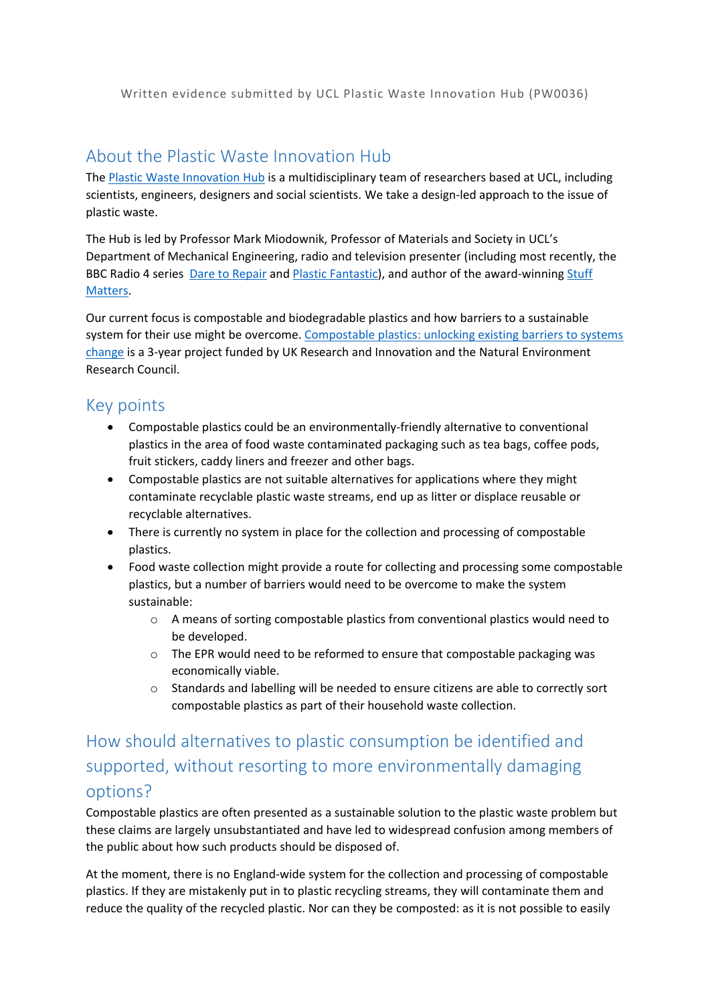Written evidence submitted by UCL Plastic Waste Innovation Hub (PW0036)

## About the Plastic Waste Innovation Hub

The [Plastic](https://www.plasticwastehub.org.uk/) [Waste](https://www.plasticwastehub.org.uk/) [Innovation](https://www.plasticwastehub.org.uk/) [Hub](https://www.plasticwastehub.org.uk/) is a multidisciplinary team of researchers based at UCL, including scientists, engineers, designers and social scientists. We take a design-led approach to the issue of plastic waste.

The Hub is led by Professor Mark Miodownik, Professor of Materials and Society in UCL's Department of Mechanical Engineering, radio and television presenter (including most recently, the BBC Radio 4 series [Dare](https://www.bbc.co.uk/programmes/b0b450ls/episodes/player) [to](https://www.bbc.co.uk/programmes/b0b450ls/episodes/player) [Repair](https://www.bbc.co.uk/programmes/b0b450ls/episodes/player) and [Plastic](https://www.bbc.co.uk/programmes/b0b450ls/episodes/player) [Fantastic\)](https://www.bbc.co.uk/programmes/b0b450ls/episodes/player), and author of the award-winning [Stuff](https://www.penguin.co.uk/books/182/182165/stuff-matters/9780241955185.html) [Matters.](https://www.penguin.co.uk/books/182/182165/stuff-matters/9780241955185.html)

Our current focus is compostable and biodegradable plastics and how barriers to a sustainable system for their use might be overcome. [Compostable](https://www.plasticwastehub.org.uk/project/compostable-plastics-unlocking-existing-barriers-to-systems-change) [plastics:](https://www.plasticwastehub.org.uk/project/compostable-plastics-unlocking-existing-barriers-to-systems-change) [unlocking](https://www.plasticwastehub.org.uk/project/compostable-plastics-unlocking-existing-barriers-to-systems-change) [existing](https://www.plasticwastehub.org.uk/project/compostable-plastics-unlocking-existing-barriers-to-systems-change) [barriers](https://www.plasticwastehub.org.uk/project/compostable-plastics-unlocking-existing-barriers-to-systems-change) [to](https://www.plasticwastehub.org.uk/project/compostable-plastics-unlocking-existing-barriers-to-systems-change) [systems](https://www.plasticwastehub.org.uk/project/compostable-plastics-unlocking-existing-barriers-to-systems-change) [change](https://www.plasticwastehub.org.uk/project/compostable-plastics-unlocking-existing-barriers-to-systems-change) is a 3-year project funded by UK Research and Innovation and the Natural Environment Research Council.

## Key points

- Compostable plastics could be an environmentally-friendly alternative to conventional plastics in the area of food waste contaminated packaging such as tea bags, coffee pods, fruit stickers, caddy liners and freezer and other bags.
- Compostable plastics are not suitable alternatives for applications where they might contaminate recyclable plastic waste streams, end up as litter or displace reusable or recyclable alternatives.
- There is currently no system in place for the collection and processing of compostable plastics.
- Food waste collection might provide a route for collecting and processing some compostable plastics, but a number of barriers would need to be overcome to make the system sustainable:
	- $\circ$  A means of sorting compostable plastics from conventional plastics would need to be developed.
	- o The EPR would need to be reformed to ensure that compostable packaging was economically viable.
	- o Standards and labelling will be needed to ensure citizens are able to correctly sort compostable plastics as part of their household waste collection.

## How should alternatives to plastic consumption be identified and supported, without resorting to more environmentally damaging options?

Compostable plastics are often presented as a sustainable solution to the plastic waste problem but these claims are largely unsubstantiated and have led to widespread confusion among members of the public about how such products should be disposed of.

At the moment, there is no England-wide system for the collection and processing of compostable plastics. If they are mistakenly put in to plastic recycling streams, they will contaminate them and reduce the quality of the recycled plastic. Nor can they be composted: as it is not possible to easily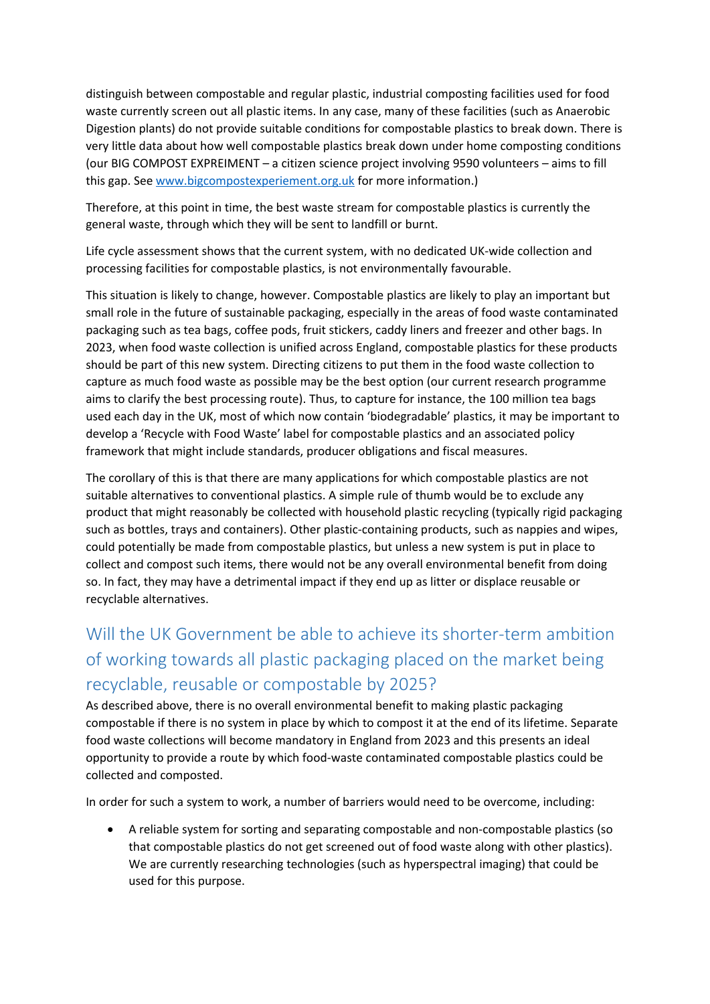distinguish between compostable and regular plastic, industrial composting facilities used for food waste currently screen out all plastic items. In any case, many of these facilities (such as Anaerobic Digestion plants) do not provide suitable conditions for compostable plastics to break down. There is very little data about how well compostable plastics break down under home composting conditions (our BIG COMPOST EXPREIMENT – a citizen science project involving 9590 volunteers – aims to fill this gap. See [www.bigcompostexperiement.org.uk](http://www.bigcompostexperiement.org.uk/) for more information.)

Therefore, at this point in time, the best waste stream for compostable plastics is currently the general waste, through which they will be sent to landfill or burnt.

Life cycle assessment shows that the current system, with no dedicated UK-wide collection and processing facilities for compostable plastics, is not environmentally favourable.

This situation is likely to change, however. Compostable plastics are likely to play an important but small role in the future of sustainable packaging, especially in the areas of food waste contaminated packaging such as tea bags, coffee pods, fruit stickers, caddy liners and freezer and other bags. In 2023, when food waste collection is unified across England, compostable plastics for these products should be part of this new system. Directing citizens to put them in the food waste collection to capture as much food waste as possible may be the best option (our current research programme aims to clarify the best processing route). Thus, to capture for instance, the 100 million tea bags used each day in the UK, most of which now contain 'biodegradable' plastics, it may be important to develop a 'Recycle with Food Waste' label for compostable plastics and an associated policy framework that might include standards, producer obligations and fiscal measures.

The corollary of this is that there are many applications for which compostable plastics are not suitable alternatives to conventional plastics. A simple rule of thumb would be to exclude any product that might reasonably be collected with household plastic recycling (typically rigid packaging such as bottles, trays and containers). Other plastic-containing products, such as nappies and wipes, could potentially be made from compostable plastics, but unless a new system is put in place to collect and compost such items, there would not be any overall environmental benefit from doing so. In fact, they may have a detrimental impact if they end up as litter or displace reusable or recyclable alternatives.

## Will the UK Government be able to achieve its shorter-term ambition of working towards all plastic packaging placed on the market being recyclable, reusable or compostable by 2025?

As described above, there is no overall environmental benefit to making plastic packaging compostable if there is no system in place by which to compost it at the end of its lifetime. Separate food waste collections will become mandatory in England from 2023 and this presents an ideal opportunity to provide a route by which food-waste contaminated compostable plastics could be collected and composted.

In order for such a system to work, a number of barriers would need to be overcome, including:

 A reliable system for sorting and separating compostable and non-compostable plastics (so that compostable plastics do not get screened out of food waste along with other plastics). We are currently researching technologies (such as hyperspectral imaging) that could be used for this purpose.